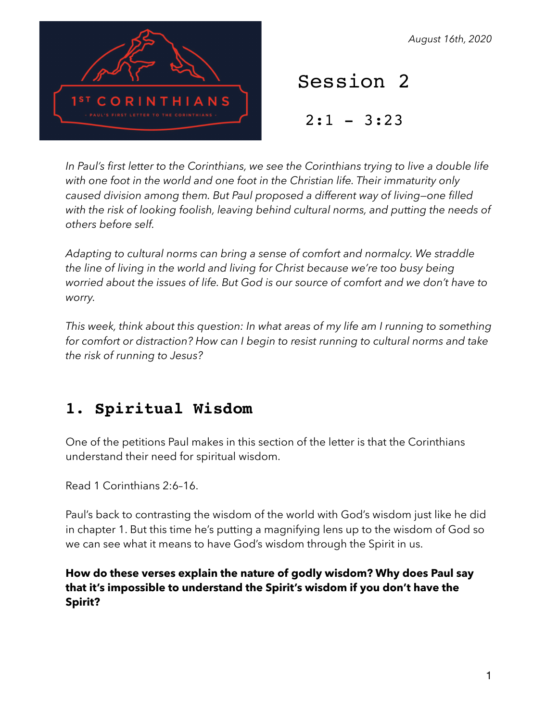THIANS

*August 16th, 2020*

Session 2

 $2:1 - 3:23$ 

In Paul's first letter to the Corinthians, we see the Corinthians trying to live a double life *with one foot in the world and one foot in the Christian life. Their immaturity only caused division among them. But Paul proposed a different way of living—one filled with the risk of looking foolish, leaving behind cultural norms, and putting the needs of others before self.* 

*Adapting to cultural norms can bring a sense of comfort and normalcy. We straddle the line of living in the world and living for Christ because we're too busy being worried about the issues of life. But God is our source of comfort and we don't have to worry.* 

*This week, think about this question: In what areas of my life am I running to something for comfort or distraction? How can I begin to resist running to cultural norms and take the risk of running to Jesus?* 

# **1. Spiritual Wisdom**

One of the petitions Paul makes in this section of the letter is that the Corinthians understand their need for spiritual wisdom.

Read 1 Corinthians 2:6–16.

Paul's back to contrasting the wisdom of the world with God's wisdom just like he did in chapter 1. But this time he's putting a magnifying lens up to the wisdom of God so we can see what it means to have God's wisdom through the Spirit in us.

**How do these verses explain the nature of godly wisdom? Why does Paul say that it's impossible to understand the Spirit's wisdom if you don't have the Spirit?**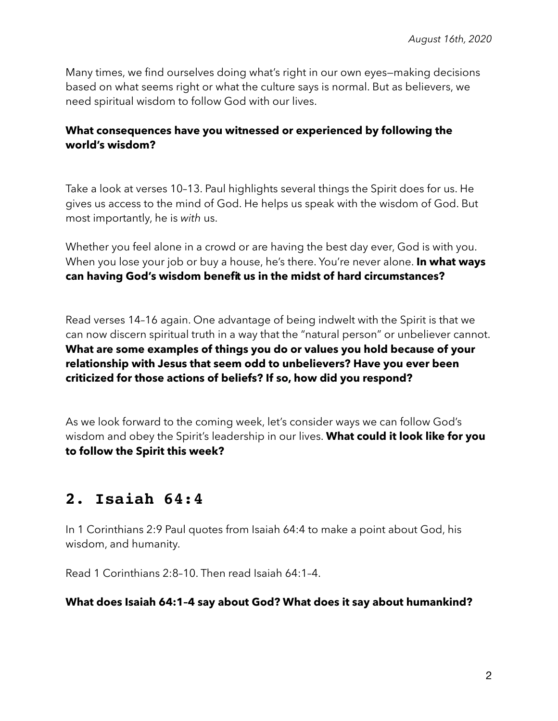Many times, we find ourselves doing what's right in our own eyes—making decisions based on what seems right or what the culture says is normal. But as believers, we need spiritual wisdom to follow God with our lives.

### **What consequences have you witnessed or experienced by following the world's wisdom?**

Take a look at verses 10–13. Paul highlights several things the Spirit does for us. He gives us access to the mind of God. He helps us speak with the wisdom of God. But most importantly, he is *with* us.

Whether you feel alone in a crowd or are having the best day ever, God is with you. When you lose your job or buy a house, he's there. You're never alone. **In what ways can having God's wisdom benefit us in the midst of hard circumstances?**

Read verses 14–16 again. One advantage of being indwelt with the Spirit is that we can now discern spiritual truth in a way that the "natural person" or unbeliever cannot. **What are some examples of things you do or values you hold because of your relationship with Jesus that seem odd to unbelievers? Have you ever been criticized for those actions of beliefs? If so, how did you respond?**

As we look forward to the coming week, let's consider ways we can follow God's wisdom and obey the Spirit's leadership in our lives. **What could it look like for you to follow the Spirit this week?**

## **2. Isaiah 64:4**

In 1 Corinthians 2:9 Paul quotes from Isaiah 64:4 to make a point about God, his wisdom, and humanity.

Read 1 Corinthians 2:8–10. Then read Isaiah 64:1–4.

#### **What does Isaiah 64:1–4 say about God? What does it say about humankind?**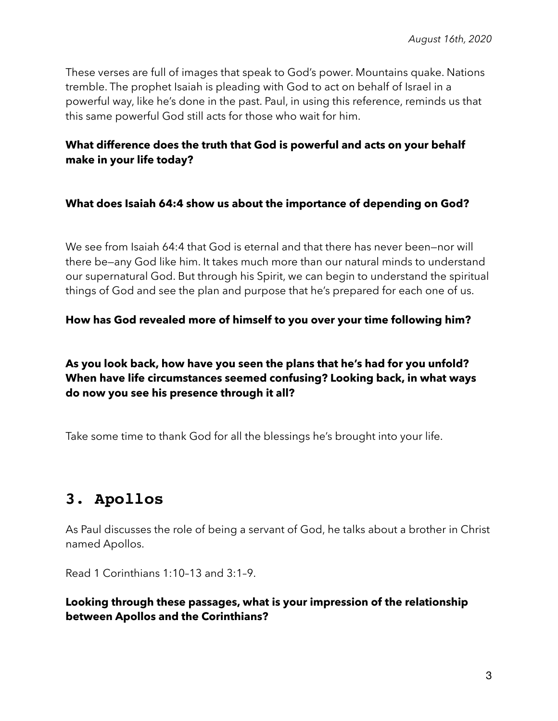These verses are full of images that speak to God's power. Mountains quake. Nations tremble. The prophet Isaiah is pleading with God to act on behalf of Israel in a powerful way, like he's done in the past. Paul, in using this reference, reminds us that this same powerful God still acts for those who wait for him.

## **What difference does the truth that God is powerful and acts on your behalf make in your life today?**

### **What does Isaiah 64:4 show us about the importance of depending on God?**

We see from Isaiah 64:4 that God is eternal and that there has never been—nor will there be—any God like him. It takes much more than our natural minds to understand our supernatural God. But through his Spirit, we can begin to understand the spiritual things of God and see the plan and purpose that he's prepared for each one of us.

### **How has God revealed more of himself to you over your time following him?**

## **As you look back, how have you seen the plans that he's had for you unfold? When have life circumstances seemed confusing? Looking back, in what ways do now you see his presence through it all?**

Take some time to thank God for all the blessings he's brought into your life.

# **3. Apollos**

As Paul discusses the role of being a servant of God, he talks about a brother in Christ named Apollos.

Read 1 Corinthians 1:10–13 and 3:1–9.

## **Looking through these passages, what is your impression of the relationship between Apollos and the Corinthians?**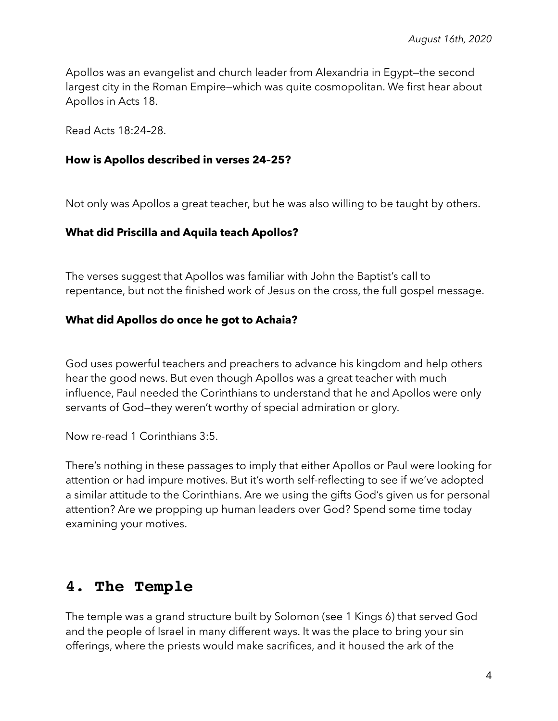Apollos was an evangelist and church leader from Alexandria in Egypt—the second largest city in the Roman Empire—which was quite cosmopolitan. We first hear about Apollos in Acts 18.

Read Acts 18:24–28.

#### **How is Apollos described in verses 24–25?**

Not only was Apollos a great teacher, but he was also willing to be taught by others.

### **What did Priscilla and Aquila teach Apollos?**

The verses suggest that Apollos was familiar with John the Baptist's call to repentance, but not the finished work of Jesus on the cross, the full gospel message.

### **What did Apollos do once he got to Achaia?**

God uses powerful teachers and preachers to advance his kingdom and help others hear the good news. But even though Apollos was a great teacher with much influence, Paul needed the Corinthians to understand that he and Apollos were only servants of God—they weren't worthy of special admiration or glory.

Now re-read 1 Corinthians 3:5.

There's nothing in these passages to imply that either Apollos or Paul were looking for attention or had impure motives. But it's worth self-reflecting to see if we've adopted a similar attitude to the Corinthians. Are we using the gifts God's given us for personal attention? Are we propping up human leaders over God? Spend some time today examining your motives.

## **4. The Temple**

The temple was a grand structure built by Solomon (see 1 Kings 6) that served God and the people of Israel in many different ways. It was the place to bring your sin offerings, where the priests would make sacrifices, and it housed the ark of the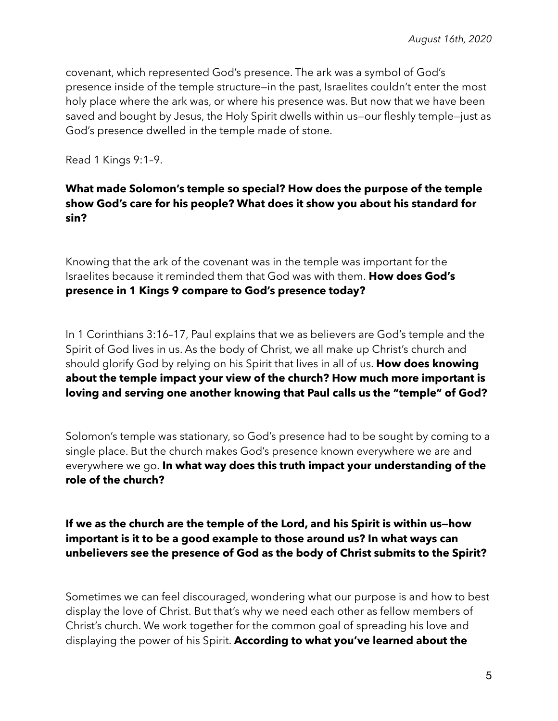covenant, which represented God's presence. The ark was a symbol of God's presence inside of the temple structure—in the past, Israelites couldn't enter the most holy place where the ark was, or where his presence was. But now that we have been saved and bought by Jesus, the Holy Spirit dwells within us—our fleshly temple—just as God's presence dwelled in the temple made of stone.

Read 1 Kings 9:1–9.

## **What made Solomon's temple so special? How does the purpose of the temple show God's care for his people? What does it show you about his standard for sin?**

Knowing that the ark of the covenant was in the temple was important for the Israelites because it reminded them that God was with them. **How does God's presence in 1 Kings 9 compare to God's presence today?** 

In 1 Corinthians 3:16–17, Paul explains that we as believers are God's temple and the Spirit of God lives in us. As the body of Christ, we all make up Christ's church and should glorify God by relying on his Spirit that lives in all of us. **How does knowing about the temple impact your view of the church? How much more important is loving and serving one another knowing that Paul calls us the "temple" of God?** 

Solomon's temple was stationary, so God's presence had to be sought by coming to a single place. But the church makes God's presence known everywhere we are and everywhere we go. **In what way does this truth impact your understanding of the role of the church?** 

**If we as the church are the temple of the Lord, and his Spirit is within us—how important is it to be a good example to those around us? In what ways can unbelievers see the presence of God as the body of Christ submits to the Spirit?** 

Sometimes we can feel discouraged, wondering what our purpose is and how to best display the love of Christ. But that's why we need each other as fellow members of Christ's church. We work together for the common goal of spreading his love and displaying the power of his Spirit. **According to what you've learned about the**